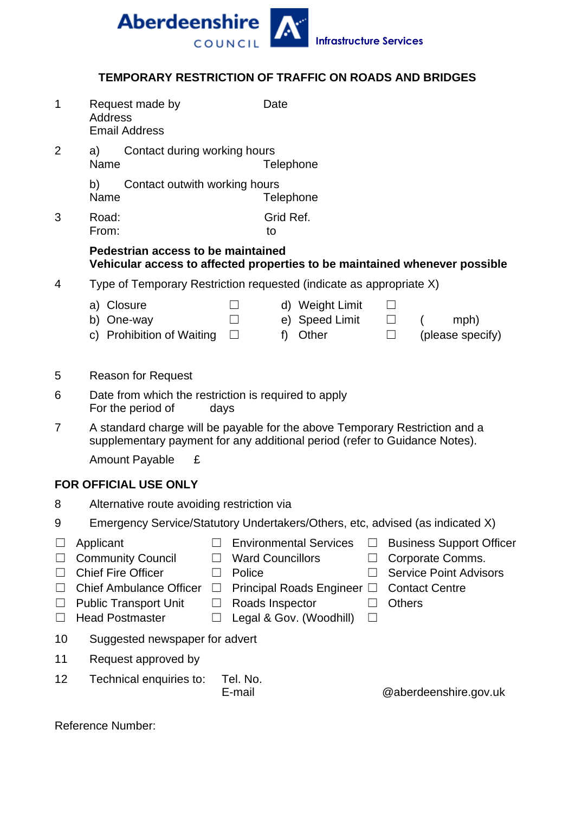

## **TEMPORARY RESTRICTION OF TRAFFIC ON ROADS AND BRIDGES**

| 1                                                   | Request made by<br><b>Address</b><br><b>Email Address</b>                                                                                                                                                    | Date                                                                                                             |                                                                      |                  |                                                                                                               |
|-----------------------------------------------------|--------------------------------------------------------------------------------------------------------------------------------------------------------------------------------------------------------------|------------------------------------------------------------------------------------------------------------------|----------------------------------------------------------------------|------------------|---------------------------------------------------------------------------------------------------------------|
| 2                                                   | Contact during working hours<br>a)<br>Name<br>Telephone                                                                                                                                                      |                                                                                                                  |                                                                      |                  |                                                                                                               |
|                                                     | b)<br>Contact outwith working hours<br>Name<br>Telephone                                                                                                                                                     |                                                                                                                  |                                                                      |                  |                                                                                                               |
| 3                                                   | Grid Ref.<br>Road:<br>From:<br>to                                                                                                                                                                            |                                                                                                                  |                                                                      |                  |                                                                                                               |
|                                                     | Pedestrian access to be maintained<br>Vehicular access to affected properties to be maintained whenever possible                                                                                             |                                                                                                                  |                                                                      |                  |                                                                                                               |
| 4                                                   | Type of Temporary Restriction requested (indicate as appropriate X)                                                                                                                                          |                                                                                                                  |                                                                      |                  |                                                                                                               |
|                                                     | a) Closure<br>b) One-way<br>c) Prohibition of Waiting                                                                                                                                                        | $\Box$<br>f<br>$\Box$                                                                                            | d) Weight Limit<br>e) Speed Limit<br>Other                           | $\Box$<br>$\Box$ | mph)<br>(please specify)                                                                                      |
| 5                                                   | <b>Reason for Request</b>                                                                                                                                                                                    |                                                                                                                  |                                                                      |                  |                                                                                                               |
| 6                                                   | Date from which the restriction is required to apply<br>For the period of<br>days                                                                                                                            |                                                                                                                  |                                                                      |                  |                                                                                                               |
| $\overline{7}$                                      | A standard charge will be payable for the above Temporary Restriction and a<br>supplementary payment for any additional period (refer to Guidance Notes).                                                    |                                                                                                                  |                                                                      |                  |                                                                                                               |
|                                                     | £<br><b>Amount Payable</b>                                                                                                                                                                                   |                                                                                                                  |                                                                      |                  |                                                                                                               |
|                                                     | <b>FOR OFFICIAL USE ONLY</b>                                                                                                                                                                                 |                                                                                                                  |                                                                      |                  |                                                                                                               |
| 8                                                   | Alternative route avoiding restriction via                                                                                                                                                                   |                                                                                                                  |                                                                      |                  |                                                                                                               |
| 9                                                   | Emergency Service/Statutory Undertakers/Others, etc, advised (as indicated X)                                                                                                                                |                                                                                                                  |                                                                      |                  |                                                                                                               |
| ⊔<br>$\Box$<br>$\Box$<br>$\Box$<br>$\Box$<br>$\Box$ | Applicant<br><b>Community Council</b><br><b>Chief Fire Officer</b><br>$\vert \ \ \vert$<br><b>Chief Ambulance Officer</b><br>$\Box$<br><b>Public Transport Unit</b><br>⊔<br><b>Head Postmaster</b><br>$\Box$ | <b>Environmental Services</b><br><b>Ward Councillors</b><br>Police<br>Roads Inspector<br>Legal & Gov. (Woodhill) | Ш<br>Ш<br>$\vert \ \ \vert$<br>Principal Roads Engineer □<br>$\perp$ | <b>Others</b>    | <b>Business Support Officer</b><br>Corporate Comms.<br><b>Service Point Advisors</b><br><b>Contact Centre</b> |
| 10                                                  | Suggested newspaper for advert                                                                                                                                                                               |                                                                                                                  |                                                                      |                  |                                                                                                               |
| 11                                                  | Request approved by                                                                                                                                                                                          |                                                                                                                  |                                                                      |                  |                                                                                                               |
| 12                                                  | Technical enquiries to:                                                                                                                                                                                      | Tel. No.<br>E-mail                                                                                               |                                                                      |                  | @aberdeenshire.gov.uk                                                                                         |
|                                                     | Reference Number:                                                                                                                                                                                            |                                                                                                                  |                                                                      |                  |                                                                                                               |